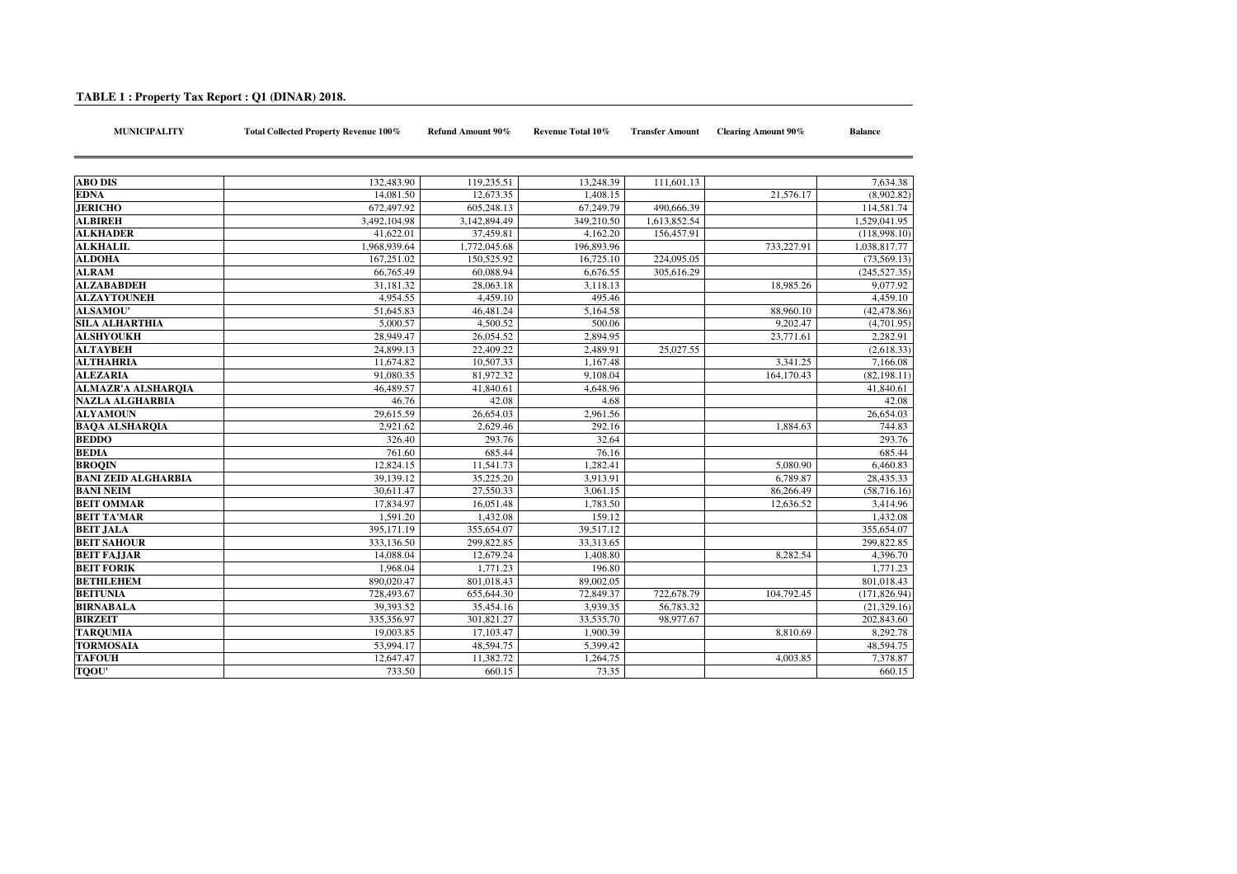## **TABLE 1 : Property Tax Report : Q1 (DINAR) 2018.**

**MUNICIPALITY Total Collected Property Revenue 100%**

| <b>ABO DIS</b>             | 132,483.90   | 119,235.51            | 13,248.39  | 111,601.13   |            | 7.634.38      |
|----------------------------|--------------|-----------------------|------------|--------------|------------|---------------|
| <b>EDNA</b>                | 14,081.50    | 12,673.35             | 1.408.15   |              | 21,576.17  | (8,902.82)    |
| <b>JERICHO</b>             | 672,497.92   | 605.248.13            | 67.249.79  | 490,666.39   |            | 114,581.74    |
| <b>ALBIREH</b>             | 3,492,104.98 | 3.142.894.49          | 349,210.50 | 1.613.852.54 |            | 1.529.041.95  |
| <b>ALKHADER</b>            | 41,622.01    | 37,459.81             | 4,162.20   | 156,457.91   |            | (118,998.10)  |
| <b>ALKHALIL</b>            | 1,968,939.64 | 1,772,045.68          | 196,893.96 |              | 733,227.91 | 1,038,817.77  |
| <b>ALDOHA</b>              | 167,251.02   | 150,525.92            | 16,725.10  | 224,095.05   |            | (73, 569.13)  |
| <b>ALRAM</b>               | 66,765.49    | 60,088.94             | 6,676.55   | 305,616.29   |            | (245, 527.35) |
| <b>ALZABABDEH</b>          | 31,181.32    | 28,063.18             | 3,118.13   |              | 18,985.26  | 9,077.92      |
| <b>ALZAYTOUNEH</b>         | 4,954.55     | 4,459.10              | 495.46     |              |            | 4,459.10      |
| <b>ALSAMOU'</b>            | 51,645.83    | 46.481.24             | 5.164.58   |              | 88,960.10  | (42, 478.86)  |
| <b>SILA ALHARTHIA</b>      | 5,000.57     | 4,500.52              | 500.06     |              | 9,202.47   | (4,701.95)    |
| <b>ALSHYOUKH</b>           | 28,949.47    | 26,054.52             | 2,894.95   |              | 23,771.61  | 2,282.91      |
| <b>ALTAYBEH</b>            | 24,899.13    | 22,409.22             | 2,489.91   | 25,027.55    |            | (2,618.33)    |
| <b>ALTHAHRIA</b>           | 11,674.82    | 10,507.33             | 1,167.48   |              | 3,341.25   | 7,166.08      |
| <b>ALEZARIA</b>            | 91,080.35    | 81,972.32             | 9.108.04   |              | 164,170.43 | (82, 198.11)  |
| <b>ALMAZR'A ALSHARQIA</b>  | 46,489.57    | 41,840.61             | 4,648.96   |              |            | 41,840.61     |
| <b>NAZLA ALGHARBIA</b>     | 46.76        | 42.08                 | 4.68       |              |            | 42.08         |
| <b>ALYAMOUN</b>            | 29,615.59    | 26,654.03             | 2,961.56   |              |            | 26,654.03     |
| <b>BAOA ALSHAROIA</b>      | 2.921.62     | 2.629.46              | 292.16     |              | 1.884.63   | 744.83        |
| <b>BEDDO</b>               | 326.40       | 293.76                | 32.64      |              |            | 293.76        |
| <b>BEDIA</b>               | 761.60       | 685.44                | 76.16      |              |            | 685.44        |
| <b>BROOIN</b>              | 12,824.15    | 11,541.73             | 1,282.41   |              | 5,080.90   | 6,460.83      |
| <b>BANI ZEID ALGHARBIA</b> | 39,139.12    | 35,225.20             | 3,913.91   |              | 6,789.87   | 28,435.33     |
| <b>BANI NEIM</b>           | 30,611.47    | 27.550.33             | 3.061.15   |              | 86,266.49  | (58,716.16)   |
| <b>BEIT OMMAR</b>          | 17,834.97    | 16,051.48             | 1,783.50   |              | 12,636.52  | 3,414.96      |
| <b>BEIT TA'MAR</b>         | 1,591.20     | 1,432.08              | 159.12     |              |            | 1,432.08      |
| <b>BEIT JALA</b>           | 395,171.19   | 355,654.07            | 39,517.12  |              |            | 355,654.07    |
| <b>BEIT SAHOUR</b>         | 333,136.50   | 299,822.85            | 33,313.65  |              |            | 299,822.85    |
| <b>BEIT FALIAR</b>         | 14,088.04    | 12,679.24             | 1.408.80   |              | 8.282.54   | 4.396.70      |
| <b>BEIT FORIK</b>          | 1,968.04     | $\overline{1,77}1.23$ | 196.80     |              |            | 1,771.23      |
| <b>BETHLEHEM</b>           | 890,020.47   | 801,018.43            | 89,002.05  |              |            | 801,018.43    |
| <b>BEITUNIA</b>            | 728,493.67   | 655,644.30            | 72,849.37  | 722,678.79   | 104,792.45 | (171, 826.94) |
| <b>BIRNABALA</b>           | 39,393.52    | 35,454.16             | 3,939.35   | 56,783.32    |            | (21, 329.16)  |
| <b>BIRZEIT</b>             | 335,356.97   | 301,821.27            | 33,535.70  | 98,977.67    |            | 202,843.60    |
| <b>TARQUMIA</b>            | 19,003.85    | 17,103.47             | 1,900.39   |              | 8,810.69   | 8,292.78      |
| <b>TORMOSAIA</b>           | 53,994.17    | 48,594.75             | 5,399.42   |              |            | 48,594.75     |
| <b>TAFOUH</b>              | 12,647.47    | 11,382.72             | 1,264.75   |              | 4,003.85   | 7,378.87      |
| TQOU'                      | 733.50       | 660.15                | 73.35      |              |            | 660.15        |

**Refund Amount 90% Revenue Total 10% Transfer Amount Clearing Amount 90% Balance**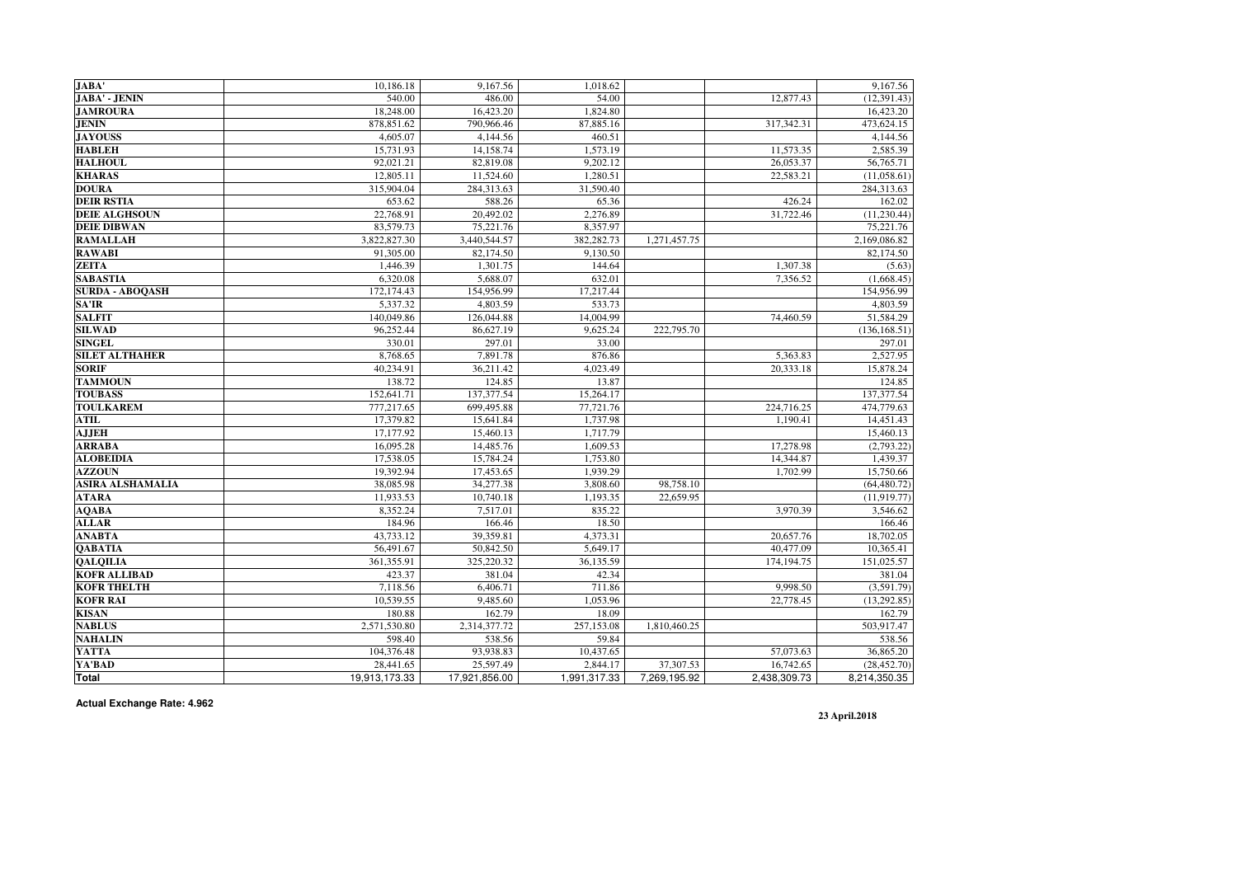| JABA'                   | 10,186.18     | 9,167.56      | 1,018.62     |              |              | 9,167.56      |
|-------------------------|---------------|---------------|--------------|--------------|--------------|---------------|
| JABA' - JENIN           | 540.00        | 486.00        | 54.00        |              | 12,877.43    | (12, 391.43)  |
| <b>JAMROURA</b>         | 18,248.00     | 16,423.20     | 1,824.80     |              |              | 16,423.20     |
| <b>JENIN</b>            | 878,851.62    | 790,966.46    | 87,885.16    |              | 317,342.31   | 473,624.15    |
| <b>JAYOUSS</b>          | 4,605.07      | 4,144.56      | 460.51       |              |              | 4,144.56      |
| <b>HABLEH</b>           | 15,731.93     | 14,158.74     | 1,573.19     |              | 11,573.35    | 2,585.39      |
| <b>HALHOUL</b>          | 92,021.21     | 82,819.08     | 9,202.12     |              | 26,053.37    | 56,765.71     |
| <b>KHARAS</b>           | 12,805.11     | 11,524.60     | 1,280.51     |              | 22,583.21    | (11,058.61)   |
| <b>DOURA</b>            | 315,904.04    | 284,313.63    | 31,590.40    |              |              | 284,313.63    |
| <b>DEIR RSTIA</b>       | 653.62        | 588.26        | 65.36        |              | 426.24       | 162.02        |
| <b>DEIE ALGHSOUN</b>    | 22,768.91     | 20,492.02     | 2,276.89     |              | 31,722.46    | (11, 230.44)  |
| <b>DEIE DIBWAN</b>      | 83,579.73     | 75,221.76     | 8,357.97     |              |              | 75,221.76     |
| <b>RAMALLAH</b>         | 3,822,827.30  | 3,440,544.57  | 382,282.73   | 1,271,457.75 |              | 2,169,086.82  |
| <b>RAWABI</b>           | 91,305.00     | 82,174.50     | 9,130.50     |              |              | 82,174.50     |
| <b>ZEITA</b>            | 1,446.39      | 1,301.75      | 144.64       |              | 1,307.38     | (5.63)        |
| <b>SABASTIA</b>         | 6,320.08      | 5,688.07      | 632.01       |              | 7,356.52     | (1,668.45)    |
| <b>SURDA - ABOQASH</b>  | 172,174.43    | 154,956.99    | 17,217.44    |              |              | 154,956.99    |
| SA'IR                   | 5,337.32      | 4,803.59      | 533.73       |              |              | 4,803.59      |
| <b>SALFIT</b>           | 140,049.86    | 126,044.88    | 14,004.99    |              | 74,460.59    | 51,584.29     |
| <b>SILWAD</b>           | 96,252.44     | 86,627.19     | 9,625.24     | 222,795.70   |              | (136, 168.51) |
| <b>SINGEL</b>           | 330.01        | 297.01        | 33.00        |              |              | 297.01        |
| <b>SILET ALTHAHER</b>   | 8,768.65      | 7,891.78      | 876.86       |              | 5,363.83     | 2,527.95      |
| <b>SORIF</b>            | 40,234.91     | 36,211.42     | 4,023.49     |              | 20,333.18    | 15,878.24     |
| <b>TAMMOUN</b>          | 138.72        | 124.85        | 13.87        |              |              | 124.85        |
| <b>TOUBASS</b>          | 152,641.71    | 137, 377.54   | 15,264.17    |              |              | 137, 377.54   |
| <b>TOULKAREM</b>        | 777,217.65    | 699,495.88    | 77,721.76    |              | 224,716.25   | 474,779.63    |
| ATIL                    | 17,379.82     | 15,641.84     | 1,737.98     |              | 1,190.41     | 14,451.43     |
| <b>AJJEH</b>            | 17,177.92     | 15,460.13     | 1.717.79     |              |              | 15,460.13     |
| <b>ARRABA</b>           | 16,095.28     | 14,485.76     | 1,609.53     |              | 17,278.98    | (2,793.22)    |
| <b>ALOBEIDIA</b>        | 17.538.05     | 15.784.24     | 1.753.80     |              | 14,344.87    | 1,439.37      |
| <b>AZZOUN</b>           | 19,392.94     | 17,453.65     | 1,939.29     |              | 1.702.99     | 15,750.66     |
| <b>ASIRA ALSHAMALIA</b> | 38,085.98     | 34,277.38     | 3,808.60     | 98,758.10    |              | (64, 480.72)  |
| <b>ATARA</b>            | 11,933.53     | 10,740.18     | 1.193.35     | 22,659.95    |              | (11, 919.77)  |
| <b>AQABA</b>            | 8.352.24      | 7,517.01      | 835.22       |              | 3.970.39     | 3,546.62      |
| <b>ALLAR</b>            | 184.96        | 166.46        | 18.50        |              |              | 166.46        |
| <b>ANABTA</b>           | 43,733.12     | 39,359.81     | 4,373.31     |              | 20,657.76    | 18,702.05     |
| <b>QABATIA</b>          | 56,491.67     | 50,842.50     | 5,649.17     |              | 40,477.09    | 10,365.41     |
| <b>OALOILIA</b>         | 361,355.91    | 325,220.32    | 36,135.59    |              | 174,194.75   | 151,025.57    |
| <b>KOFR ALLIBAD</b>     | 423.37        | 381.04        | 42.34        |              |              | 381.04        |
| <b>KOFR THELTH</b>      | 7,118.56      | 6,406.71      | 711.86       |              | 9.998.50     | (3,591.79)    |
| <b>KOFR RAI</b>         | 10.539.55     | 9,485.60      | 1,053.96     |              | 22,778.45    | (13, 292.85)  |
| <b>KISAN</b>            | 180.88        | 162.79        | 18.09        |              |              | 162.79        |
| <b>NABLUS</b>           | 2,571,530.80  | 2,314,377.72  | 257,153.08   | 1,810,460.25 |              | 503,917.47    |
| <b>NAHALIN</b>          | 598.40        | 538.56        | 59.84        |              |              | 538.56        |
| YATTA                   | 104,376.48    | 93.938.83     | 10.437.65    |              | 57,073.63    | 36,865.20     |
| YA'BAD                  | 28,441.65     | 25,597.49     | 2,844.17     | 37,307.53    | 16,742.65    | (28, 452.70)  |
| Total                   | 19,913,173.33 | 17,921,856.00 | 1,991,317.33 | 7,269,195.92 | 2,438,309.73 | 8,214,350.35  |

**Actual Exchange Rate: 4.962**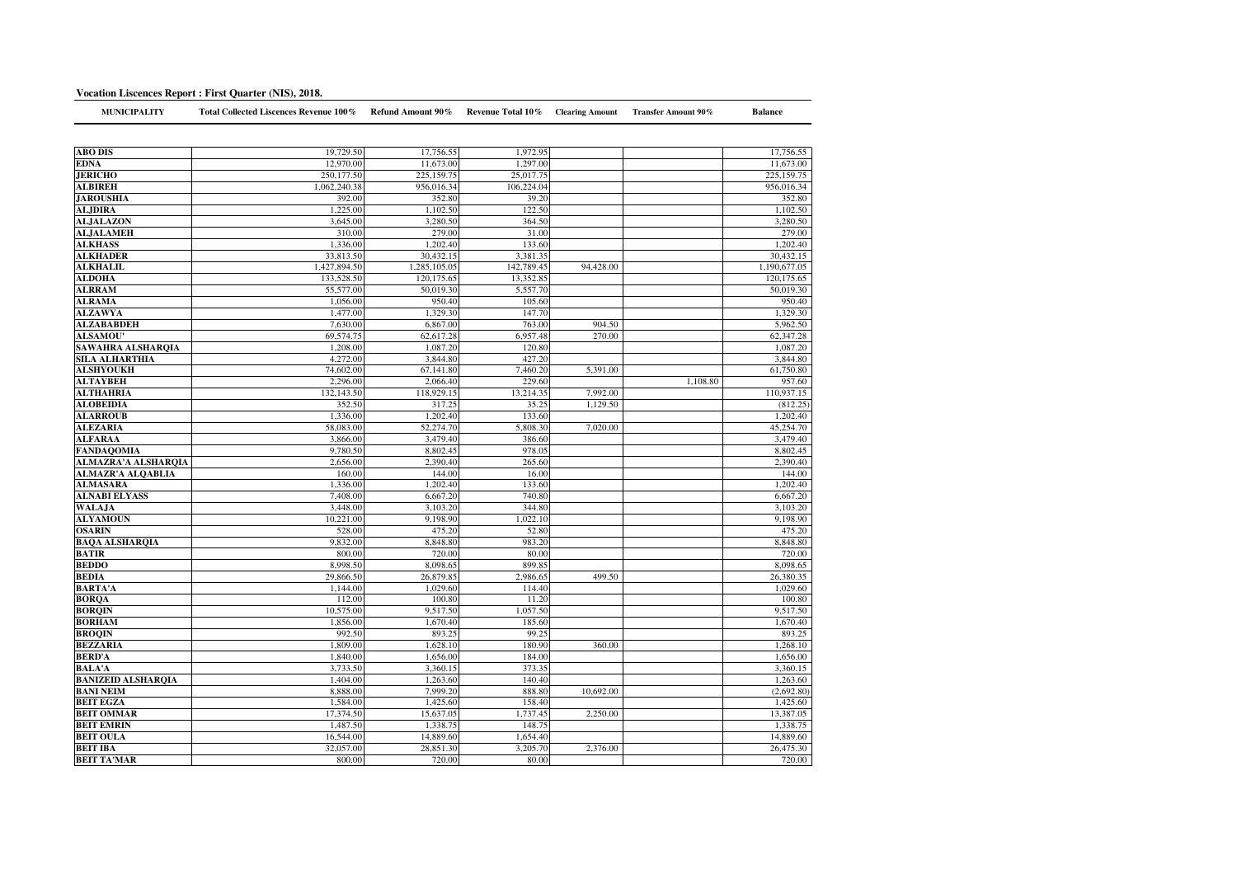## **Vocation Liscences Report : First Quarter (NIS), 2018.**

| <b>MUNICIPALITY</b>                | Total Collected Liscences Revenue 100% | Refund Amount 90%  | Revenue Total 10% Clearing Amount |           | <b>Transfer Amount 90%</b> | <b>Balance</b>     |
|------------------------------------|----------------------------------------|--------------------|-----------------------------------|-----------|----------------------------|--------------------|
|                                    |                                        |                    |                                   |           |                            |                    |
| <b>ABO DIS</b>                     | 19,729.50                              | 17,756.55          | 1,972.95                          |           |                            |                    |
|                                    | 12,970.00                              | 11,673.00          | 1,297.00                          |           |                            | 17,756.55          |
| <b>EDNA</b><br><b>JERICHO</b>      |                                        |                    |                                   |           |                            | 11,673.00          |
|                                    | 250,177.50                             | 225,159.75         | 25,017.75                         |           |                            | 225,159.75         |
| <b>ALBIREH</b>                     | 1,062,240.38                           | 956,016.34         | 106,224.04                        |           |                            | 956,016.34         |
| <b>JAROUSHIA</b><br><b>ALJDIRA</b> | 392.00<br>1,225.00                     | 352.80<br>1,102.50 | 39.20<br>122.50                   |           |                            | 352.80<br>1,102.50 |
|                                    |                                        |                    |                                   |           |                            |                    |
| <b>ALJALAZON</b>                   | 3,645.00                               | 3,280.50           | 364.50                            |           |                            | 3,280.50           |
| ALJALAMEH                          | 310.00<br>1,336.00                     | 279.00<br>1.202.40 | 31.00<br>133.60                   |           |                            | 279.00<br>1.202.40 |
| <b>ALKHASS</b>                     |                                        |                    |                                   |           |                            |                    |
| <b>ALKHADER</b>                    | 33,813.50                              | 30,432.15          | 3,381.35                          |           |                            | 30,432.15          |
| <b>ALKHALIL</b>                    | 1,427,894.50                           | 1,285,105.05       | 142,789.45                        | 94,428.00 |                            | 1,190,677.05       |
| <b>ALDOHA</b>                      | 133,528.50                             | 120,175.65         | 13,352.85                         |           |                            | 120,175.65         |
| <b>ALRRAM</b>                      | 55,577.00                              | 50,019.30          | 5,557.70                          |           |                            | 50,019.30          |
| <b>ALRAMA</b>                      | 1,056.00                               | 950.40             | 105.60                            |           |                            | 950.40             |
| <b>ALZAWYA</b>                     | 1,477.00                               | 1,329.30           | 147.70                            |           |                            | 1,329.30           |
| <b>ALZABABDEH</b>                  | 7,630.00                               | 6,867.00           | 763.00                            | 904.50    |                            | 5,962.50           |
| <b>ALSAMOU'</b>                    | 69,574.75                              | 62,617.28          | 6,957.48                          | 270.00    |                            | 62,347.28          |
| SAWAHRA ALSHARQIA                  | 1.208.00                               | 1.087.20           | 120.80                            |           |                            | 1.087.20           |
| SILA ALHARTHIA                     | 4,272.00                               | 3,844.80           | 427.20                            |           |                            | 3,844.80           |
| <b>ALSHYOUKH</b>                   | 74,602.00                              | 67,141.80          | 7,460.20                          | 5,391.00  |                            | 61,750.80          |
| ALTAYBEH                           | 2,296.00                               | 2,066.40           | 229.60                            |           | 1,108.80                   | 957.60             |
| ALTHAHRIA                          | 132,143.50                             | 118,929.15         | 13,214.35                         | 7,992.00  |                            | 110,937.15         |
| <b>ALOBEIDIA</b>                   | 352.50                                 | 317.25             | 35.25                             | 1,129.50  |                            | (812.25)           |
| <b>ALARROUB</b>                    | 1,336.00                               | 1,202.40           | 133.60                            |           |                            | 1,202.40           |
| <b>ALEZARIA</b>                    | 58,083.00                              | 52,274.70          | 5,808.30                          | 7,020,00  |                            | 45,254.70          |
| <b>ALFARAA</b>                     | 3,866.00                               | 3,479.40           | 386.60                            |           |                            | 3,479.40           |
| <b>FANDAQOMIA</b>                  | 9,780.50                               | 8,802.45           | 978.05                            |           |                            | 8,802.45           |
| <b>ALMAZRA'A ALSHARQIA</b>         | 2,656.00                               | 2,390.40           | 265.60                            |           |                            | 2,390.40           |
| ALMAZR'A ALQABLIA                  | 160.00                                 | 144.00             | 16.00                             |           |                            | 144.00             |
| <b>ALMASARA</b>                    | 1,336.00                               | 1,202.40           | 133.60                            |           |                            | 1,202.40           |
| <b>ALNABI ELYASS</b>               | 7,408.00                               | 6,667.20           | 740.80                            |           |                            | 6,667.20           |
| <b>WALAJA</b>                      | 3,448.00                               | 3.103.20           | 344.80                            |           |                            | 3.103.20           |
| <b>ALYAMOUN</b>                    | 10,221.00                              | 9,198.90           | 1,022.10                          |           |                            | 9,198.90           |
| <b>OSARIN</b>                      | 528.00                                 | 475.20             | 52.80                             |           |                            | 475.20             |
| <b>BAQA ALSHARQIA</b>              | 9,832.00                               | 8,848.80           | 983.20                            |           |                            | 8,848.80           |
| <b>BATIR</b>                       | 800.00                                 | 720.00             | 80.00                             |           |                            | 720.00             |
| <b>BEDDO</b>                       | 8,998.50                               | 8,098.65           | 899.85                            |           |                            | 8.098.65           |
| <b>BEDIA</b>                       | 29,866.50                              | 26,879.85          | 2,986.65                          | 499.50    |                            | 26,380.35          |
| <b>BARTA'A</b>                     | 1,144.00                               | 1.029.60           | 114.40                            |           |                            | 1,029.60           |
| <b>BORQA</b>                       | 112.00                                 | 100.80             | 11.20                             |           |                            | 100.80             |
| <b>BORQIN</b>                      | 10,575.00                              | 9,517.50           | 1,057.50                          |           |                            | 9,517.50           |
| <b>BORHAM</b>                      | 1,856.00                               | 1,670.40           | 185.60                            |           |                            | 1,670.40           |
| <b>BROOIN</b>                      | 992.50                                 | 893.25             | 99.25                             |           |                            | 893.25             |
| <b>BEZZARIA</b>                    | 1,809.00                               | 1,628.10           | 180.90                            | 360.00    |                            | 1,268.10           |
| <b>BERD'A</b>                      | 1,840.00                               | 1,656.00           | 184.00                            |           |                            | 1,656.00           |
| <b>BALA'A</b>                      | 3,733.50                               | 3,360.15           | 373.35                            |           |                            | 3,360.15           |
| <b>BANIZEID ALSHAROIA</b>          | 1,404.00                               | 1.263.60           | 140.40                            |           |                            | 1.263.60           |
| <b>BANI NEIM</b>                   | 8,888.00                               | 7,999.20           | 888.80                            | 10,692.00 |                            | (2,692.80)         |
| <b>BEIT EGZA</b>                   | 1,584.00                               | 1,425.60           | 158.40                            |           |                            | 1,425.60           |
| <b>BEIT OMMAR</b>                  | 17,374.50                              | 15,637.05          | 1,737.45                          | 2,250.00  |                            | 13,387.05          |
| <b>BEIT EMRIN</b>                  | 1,487.50                               | 1,338.75           | 148.75                            |           |                            | 1,338.75           |
| <b>BEIT OULA</b>                   | 16,544.00                              | 14,889.60          | 1,654.40                          |           |                            | 14,889.60          |
| <b>BEIT IBA</b>                    | 32,057.00                              | 28,851.30          | 3,205.70                          | 2,376.00  |                            | 26,475.30          |
| <b>BEIT TA'MAR</b>                 | 800.00                                 | 720.00             | 80.00                             |           |                            | 720.00             |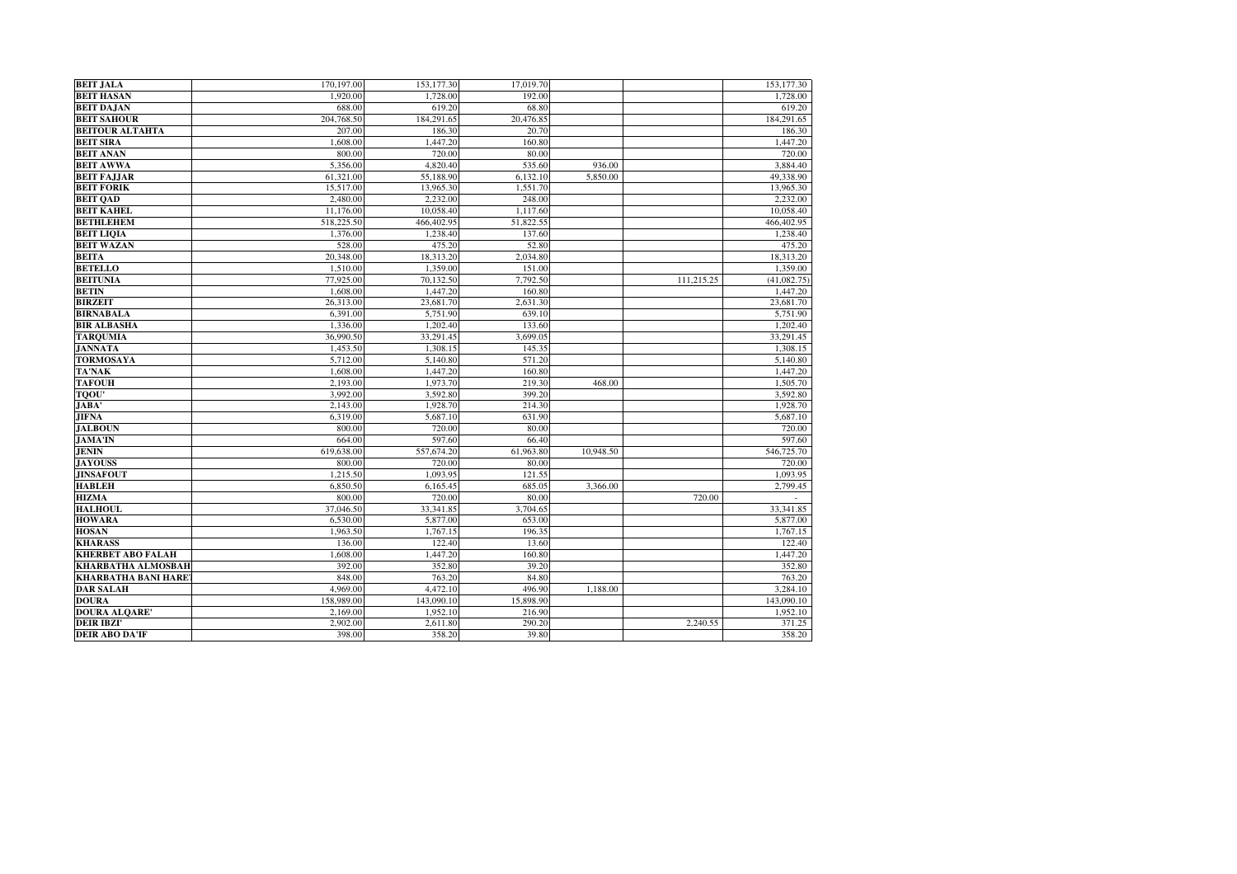| <b>BEIT JALA</b>                   | 170,197.00         | 153,177.30         | 17,019.70       |           |            | 153,177.30         |
|------------------------------------|--------------------|--------------------|-----------------|-----------|------------|--------------------|
| <b>BEIT HASAN</b>                  | 1.920.00           | 1,728.00           | 192.00          |           |            | 1,728.00           |
| <b>BEIT DAJAN</b>                  | 688.00             | 619.20             | 68.80           |           |            | 619.20             |
| <b>BEIT SAHOUR</b>                 | 204,768.50         | 184,291.65         | 20,476.85       |           |            | 184,291.65         |
| <b>BEITOUR ALTAHTA</b>             | 207.00             | 186.30             | 20.70           |           |            | 186.30             |
| <b>BEIT SIRA</b>                   | 1,608.00           | 1,447.20           | 160.80          |           |            | 1,447.20           |
| <b>BEIT ANAN</b>                   | 800.00             | 720.00             | 80.00           |           |            | 720.00             |
| <b>BEIT AWWA</b>                   | 5,356.00           | 4,820.40           | 535.60          | 936.00    |            | 3,884.40           |
| <b>BEIT FAJJAR</b>                 | 61,321.00          | 55,188.90          | 6,132.10        | 5.850.00  |            | 49,338.90          |
| <b>BEIT FORIK</b>                  | 15,517.00          | 13,965.30          | 1,551.70        |           |            | 13,965.30          |
| <b>BEIT QAD</b>                    | 2,480.00           | 2,232.00           | 248.00          |           |            | 2,232.00           |
| <b>BEIT KAHEL</b>                  | 11,176.00          | 10,058.40          | 1,117.60        |           |            | 10,058.40          |
| <b>BETHLEHEM</b>                   | 518,225.50         | 466,402.95         | 51,822.55       |           |            | 466,402.95         |
| <b>BEIT LIOIA</b>                  | 1,376.00           | 1,238.40           | 137.60          |           |            | 1,238.40           |
| <b>BEIT WAZAN</b>                  | 528.00             | 475.20             | 52.80           |           |            | 475.20             |
| <b>BEITA</b>                       | 20,348.00          | 18,313.20          | 2,034.80        |           |            | 18,313.20          |
| <b>BETELLO</b>                     | 1,510.00           | 1,359.00           | 151.00          |           |            | 1,359.00           |
| <b>BEITUNIA</b>                    | 77,925.00          | 70.132.50          | 7.792.50        |           | 111.215.25 | (41.082.75)        |
| <b>BETIN</b>                       | 1,608.00           | 1,447.20           | 160.80          |           |            | 1,447.20           |
| <b>BIRZEIT</b>                     | 26.313.00          | 23.681.70          | 2.631.30        |           |            | 23,681.70          |
| <b>BIRNABALA</b>                   | 6,391.00           | 5,751.90           | 639.10          |           |            | 5,751.90           |
| <b>BIR ALBASHA</b>                 | 1,336.00           | 1,202.40           | 133.60          |           |            | 1.202.40           |
| <b>TARQUMIA</b>                    | 36,990.50          | 33,291.45          | 3,699.05        |           |            | 33,291.45          |
| <b>JANNATA</b>                     | 1,453.50           | 1.308.15           | 145.35          |           |            | 1.308.15           |
| <b>TORMOSAYA</b>                   | 5,712.00           | 5,140.80           | 571.20          |           |            | 5,140.80           |
| <b>TA'NAK</b>                      | 1,608.00           | 1,447.20           | 160.80          |           |            | 1,447.20           |
| <b>TAFOUH</b>                      | 2,193.00           | 1,973.70           | 219.30          | 468.00    |            | 1,505.70           |
| <b>TQOU'</b>                       | 3.992.00           | 3.592.80           | 399.20          |           |            | 3.592.80           |
| JABA'                              | 2,143.00           | 1,928.70           | 214.30          |           |            | 1,928.70           |
| <b>JIFNA</b>                       | 6,319.00           | 5,687.10           | 631.90          |           |            | 5,687.10           |
| <b>JALBOUN</b>                     | 800.00             | 720.00             | 80.00           |           |            | 720.00             |
| <b>JAMA'IN</b>                     | 664.00             | 597.60             | 66.40           |           |            | 597.60             |
| <b>JENIN</b>                       | 619,638.00         | 557,674.20         | 61,963.80       | 10,948.50 |            | 546,725.70         |
| <b>JAYOUSS</b><br><b>JINSAFOUT</b> | 800.00<br>1,215.50 | 720.00<br>1,093.95 | 80.00<br>121.55 |           |            | 720.00<br>1,093.95 |
| <b>HABLEH</b>                      | 6,850.50           | 6,165.45           | 685.05          | 3,366.00  |            | 2,799.45           |
| <b>HIZMA</b>                       | 800.00             | 720.00             | 80.00           |           | 720.00     |                    |
| <b>HALHOUL</b>                     | 37,046.50          | 33,341.85          | 3,704.65        |           |            | 33,341.85          |
| <b>HOWARA</b>                      | 6,530.00           | 5,877.00           | 653.00          |           |            | 5,877.00           |
| <b>HOSAN</b>                       | 1,963.50           | 1,767.15           | 196.35          |           |            | 1,767.15           |
| <b>KHARASS</b>                     | 136.00             | 122.40             | 13.60           |           |            | 122.40             |
| <b>KHERBET ABO FALAH</b>           | 1,608.00           | 1,447.20           | 160.80          |           |            | 1,447.20           |
| <b>KHARBATHA ALMOSBAH</b>          | 392.00             | 352.80             | 39.20           |           |            | 352.80             |
| <b>KHARBATHA BANI HARE</b>         | 848.00             | 763.20             | 84.80           |           |            | 763.20             |
| <b>DAR SALAH</b>                   | 4.969.00           | 4.472.10           | 496.90          | 1,188.00  |            | 3.284.10           |
| <b>DOURA</b>                       | 158,989.00         | 143,090.10         | 15,898.90       |           |            | 143,090.10         |
| <b>DOURA ALQARE'</b>               | 2,169.00           | 1.952.10           | 216.90          |           |            | 1,952.10           |
| <b>DEIR IBZI'</b>                  | 2,902.00           | 2,611.80           | 290.20          |           | 2,240.55   | 371.25             |
| <b>DEIR ABO DA'IF</b>              | 398.00             | 358.20             | 39.80           |           |            | 358.20             |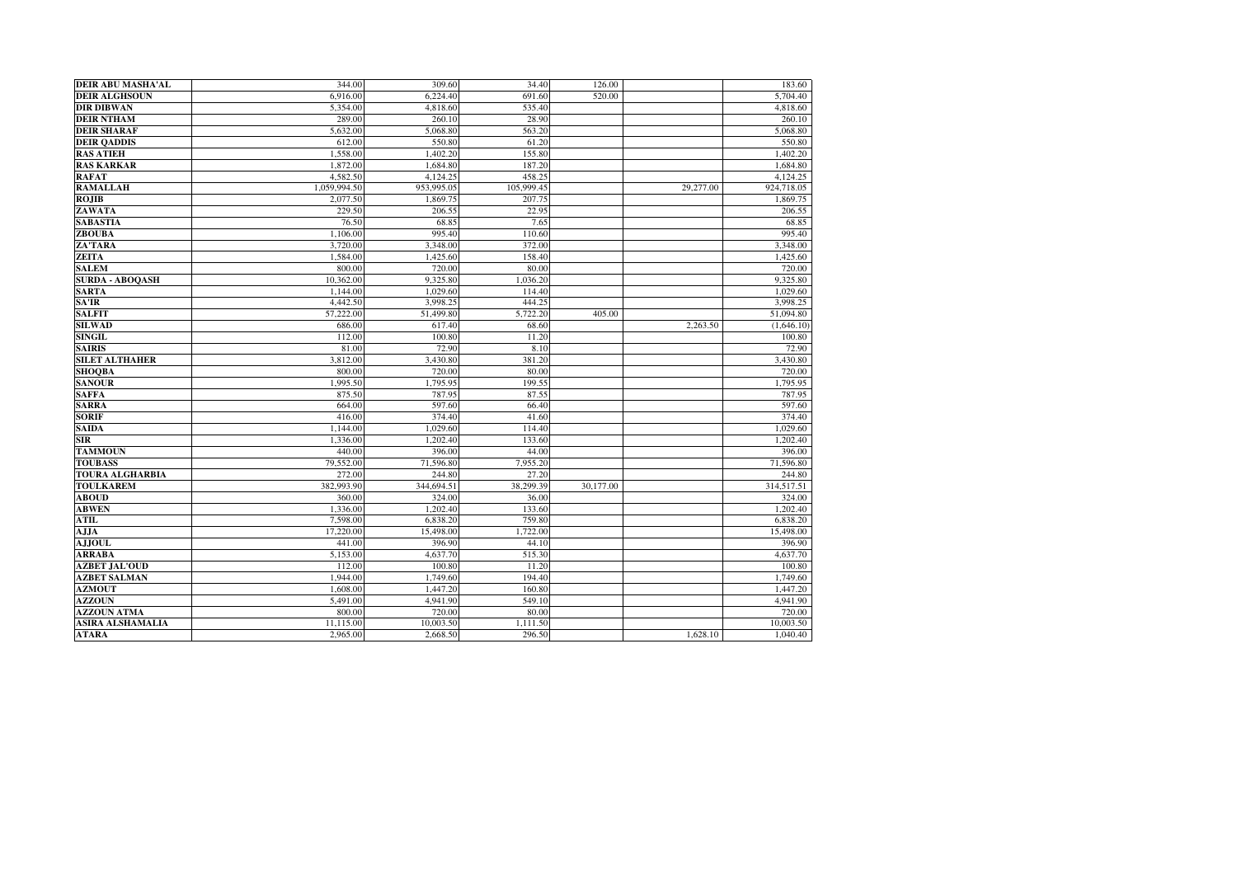| <b>DEIR ABU MASHA'AL</b>       | 344.00             | 309.60             | 34.40           | 126.00    |           | 183.60               |
|--------------------------------|--------------------|--------------------|-----------------|-----------|-----------|----------------------|
| <b>DEIR ALGHSOUN</b>           | 6,916.00           | 6,224.40           | 691.60          | 520.00    |           | 5,704.40             |
| <b>DIR DIBWAN</b>              | 5.354.00           | 4,818.60           | 535.40          |           |           | 4,818.60             |
| <b>DEIR NTHAM</b>              | 289.00             | 260.10             | 28.90           |           |           | 260.10               |
| <b>DEIR SHARAF</b>             | 5.632.00           | 5.068.80           | 563.20          |           |           | 5,068.80             |
| <b>DEIR OADDIS</b>             | 612.00             | 550.80             | 61.20           |           |           | 550.80               |
| <b>RAS ATIEH</b>               | 1,558.00           | 1.402.20           | 155.80          |           |           | 1.402.20             |
| <b>RAS KARKAR</b>              | 1,872.00           | 1,684.80           | 187.20          |           |           | 1,684.80             |
| <b>RAFAT</b>                   | 4,582.50           | 4,124.25           | 458.25          |           |           | 4,124.25             |
| <b>RAMALLAH</b>                | 1,059,994.50       | 953,995.05         | 105,999.45      |           | 29,277.00 | 924,718.05           |
| <b>ROJIB</b>                   | 2,077.50           | 1,869.75           | 207.75          |           |           | 1,869.75             |
| ZAWATA                         | 229.50             | 206.55             | 22.95           |           |           | 206.55               |
| <b>SABASTIA</b>                | 76.50              | 68.85              | 7.65            |           |           | 68.85                |
| <b>ZBOUBA</b>                  | 1,106.00           | 995.40             | 110.60          |           |           | 995.40               |
| ZA'TARA                        | 3,720.00           | 3,348.00           | 372.00          |           |           | 3,348.00             |
| <b>ZEITA</b>                   | 1,584.00           | 1,425.60           | 158.40          |           |           | 1,425.60             |
| <b>SALEM</b>                   | 800.00             | 720.00             | 80.00           |           |           | 720.00               |
| <b>SURDA - ABOOASH</b>         | 10,362.00          | 9,325.80           | 1.036.20        |           |           | 9.325.80             |
| <b>SARTA</b>                   | 1,144.00           | 1.029.60           | 114.40          |           |           | 1,029.60             |
| SA'IR                          | 4,442.50           | 3,998.25           | 444.25          |           |           | 3,998.25             |
| <b>SALFIT</b>                  | 57,222.00          | 51,499.80          | 5,722.20        | 405.00    |           | 51,094.80            |
| <b>SILWAD</b>                  | 686.00             | 617.40             | 68.60           |           | 2,263.50  | (1,646.10)           |
| <b>SINGIL</b>                  | 112.00             | 100.80             | 11.20           |           |           | 100.80               |
| <b>SAIRIS</b>                  | 81.00              | 72.90              | 8.10            |           |           | 72.90                |
| <b>SILET ALTHAHER</b>          | 3,812.00           | 3,430.80           | 381.20          |           |           | 3,430.80             |
| <b>SHOOBA</b>                  | 800.00             | 720.00             | 80.00           |           |           | 720.00               |
| <b>SANOUR</b>                  | 1.995.50           | 1,795.95           | 199.55          |           |           | 1,795.95             |
| <b>SAFFA</b>                   | 875.50             | 787.95             | 87.55           |           |           | 787.95               |
| <b>SARRA</b>                   | 664.00             | 597.60             | 66.40           |           |           | 597.60               |
| <b>SORIF</b>                   | 416.00             | 374.40             | 41.60           |           |           | 374.40               |
| <b>SAIDA</b>                   | 1,144.00           | 1,029.60           | 114.40          |           |           | 1,029.60             |
| <b>SIR</b>                     | 1,336.00           | 1.202.40           | 133.60          |           |           | 1.202.40             |
| <b>TAMMOUN</b>                 | 440.00             | 396.00             | 44.00           |           |           | 396.00               |
| <b>TOUBASS</b>                 | 79,552.00          | 71,596.80          | 7,955.20        |           |           | 71,596.80            |
| <b>TOURA ALGHARBIA</b>         | 272.00             | 244.80             | 27.20           |           |           | 244.80               |
| <b>TOULKAREM</b>               | 382,993.90         | 344,694.51         | 38,299.39       | 30,177.00 |           | 314,517.51           |
| <b>ABOUD</b>                   | 360.00             | 324.00             | 36.00           |           |           | 324.00               |
| <b>ABWEN</b>                   | 1,336.00           | 1,202.40           | 133.60          |           |           | 1,202.40             |
| ATIL                           | 7.598.00           | 6,838.20           | 759.80          |           |           | 6.838.20             |
| AJJA                           | 17,220.00          | 15,498.00          | 1,722.00        |           |           | 15,498.00            |
| <b>AJJOUL</b>                  | 441.00             | 396.90             | 44.10           |           |           | 396.90               |
| <b>ARRABA</b>                  | 5,153.00           | 4,637.70           | 515.30          |           |           | 4,637.70             |
| <b>AZBET JAL'OUD</b>           | 112.00             | 100.80             | 11.20           |           |           | 100.80               |
| <b>AZBET SALMAN</b>            | 1,944.00           | 1,749.60           | 194.40          |           |           | 1,749.60             |
| <b>AZMOUT</b><br><b>AZZOUN</b> | 1,608.00           | 1,447.20           | 160.80          |           |           | 1.447.20<br>4,941.90 |
| <b>AZZOUN ATMA</b>             | 5,491.00<br>800.00 | 4,941.90<br>720.00 | 549.10<br>80.00 |           |           | 720.00               |
| <b>ASIRA ALSHAMALIA</b>        |                    |                    |                 |           |           |                      |
|                                | 11,115.00          | 10,003.50          | 1,111.50        |           |           | 10,003.50            |
| <b>ATARA</b>                   | 2.965.00           | 2,668.50           | 296.50          |           | 1,628.10  | 1.040.40             |